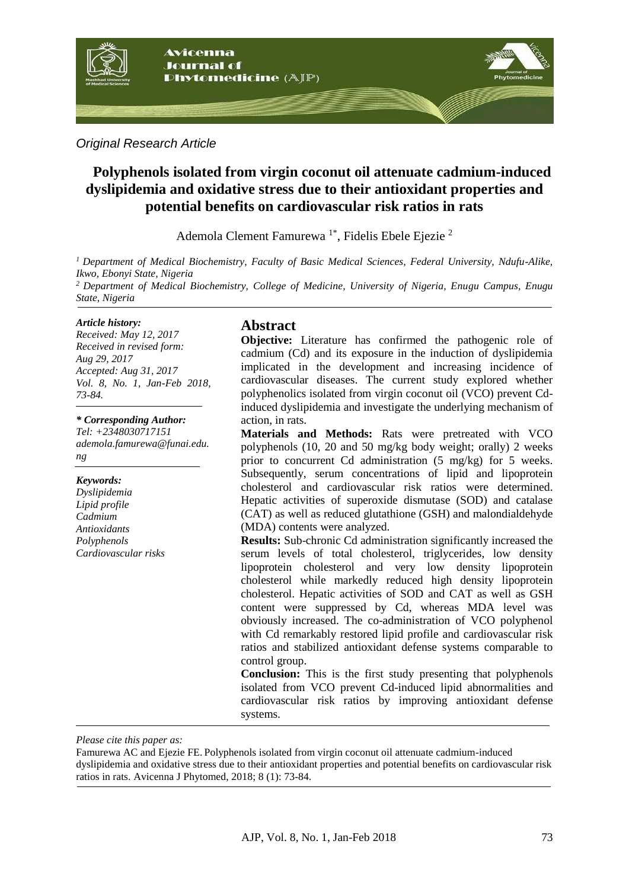

#### *Original Research Article*

# **Polyphenols isolated from virgin coconut oil attenuate cadmium-induced dyslipidemia and oxidative stress due to their antioxidant properties and potential benefits on cardiovascular risk ratios in rats**

Ademola Clement Famurewa<sup>1\*</sup>, Fidelis Ebele Ejezie<sup>2</sup>

*<sup>1</sup> Department of Medical Biochemistry, Faculty of Basic Medical Sciences, Federal University, Ndufu-Alike, Ikwo, Ebonyi State, Nigeria <sup>2</sup> Department of Medical Biochemistry, College of Medicine, University of Nigeria, Enugu Campus, Enugu State, Nigeria*

#### *Article history:*

*Received: May 12, 2017 Received in revised form: Aug 29, 2017 Accepted: Aug 31, 2017 Vol. 8, No. 1, Jan-Feb 2018, 73-84.*

*\* Corresponding Author: Tel: +2348030717151*

*ademola.famurewa@funai.edu. ng* 

#### *Keywords:*

*Dyslipidemia Lipid profile Cadmium Antioxidants Polyphenols Cardiovascular risks*

### **Abstract**

**Objective:** Literature has confirmed the pathogenic role of cadmium (Cd) and its exposure in the induction of dyslipidemia implicated in the development and increasing incidence of cardiovascular diseases. The current study explored whether polyphenolics isolated from virgin coconut oil (VCO) prevent Cdinduced dyslipidemia and investigate the underlying mechanism of action, in rats.

**Materials and Methods:** Rats were pretreated with VCO polyphenols (10, 20 and 50 mg/kg body weight; orally) 2 weeks prior to concurrent Cd administration (5 mg/kg) for 5 weeks. Subsequently, serum concentrations of lipid and lipoprotein cholesterol and cardiovascular risk ratios were determined. Hepatic activities of superoxide dismutase (SOD) and catalase (CAT) as well as reduced glutathione (GSH) and malondialdehyde (MDA) contents were analyzed.

**Results:** Sub-chronic Cd administration significantly increased the serum levels of total cholesterol, triglycerides, low density lipoprotein cholesterol and very low density lipoprotein cholesterol while markedly reduced high density lipoprotein cholesterol. Hepatic activities of SOD and CAT as well as GSH content were suppressed by Cd, whereas MDA level was obviously increased. The co-administration of VCO polyphenol with Cd remarkably restored lipid profile and cardiovascular risk ratios and stabilized antioxidant defense systems comparable to control group.

**Conclusion:** This is the first study presenting that polyphenols isolated from VCO prevent Cd-induced lipid abnormalities and cardiovascular risk ratios by improving antioxidant defense systems.

*Please cite this paper as:* 

Famurewa AC and Ejezie FE. Polyphenols isolated from virgin coconut oil attenuate cadmium-induced dyslipidemia and oxidative stress due to their antioxidant properties and potential benefits on cardiovascular risk ratios in rats. Avicenna J Phytomed, 2018; 8 (1): 73-84.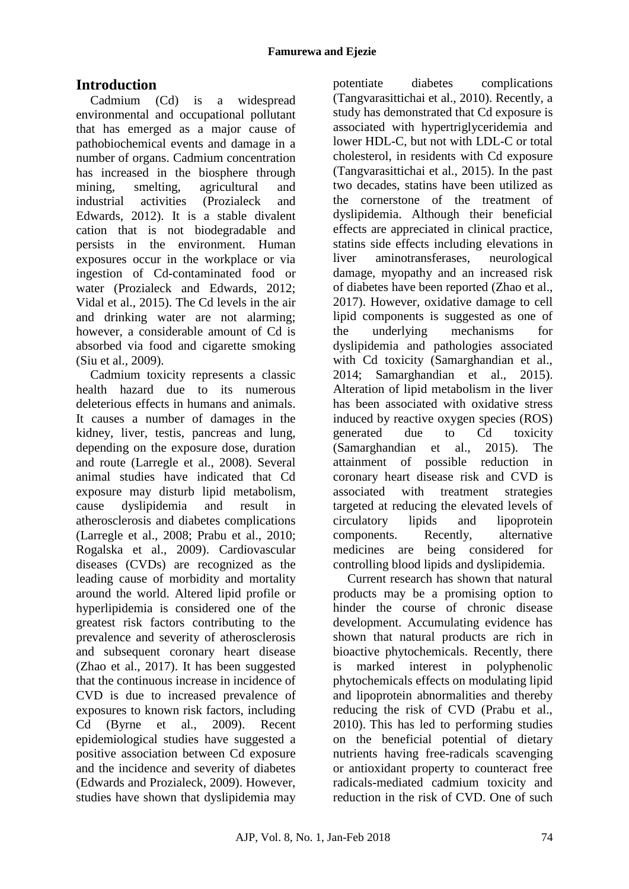# **Introduction**

Cadmium (Cd) is a widespread environmental and occupational pollutant that has emerged as a major cause of pathobiochemical events and damage in a number of organs. Cadmium concentration has increased in the biosphere through mining, smelting, agricultural and industrial activities (Prozialeck and Edwards, 2012). It is a stable divalent cation that is not biodegradable and persists in the environment. Human exposures occur in the workplace or via ingestion of Cd-contaminated food or water (Prozialeck and Edwards, 2012; Vidal et al., 2015). The Cd levels in the air and drinking water are not alarming; however, a considerable amount of Cd is absorbed via food and cigarette smoking (Siu et al., 2009).

Cadmium toxicity represents a classic health hazard due to its numerous deleterious effects in humans and animals. It causes a number of damages in the kidney, liver, testis, pancreas and lung, depending on the exposure dose, duration and route (Larregle et al., 2008). Several animal studies have indicated that Cd exposure may disturb lipid metabolism, cause dyslipidemia and result in atherosclerosis and diabetes complications (Larregle et al., 2008; Prabu et al., 2010; Rogalska et al., 2009). Cardiovascular diseases (CVDs) are recognized as the leading cause of morbidity and mortality around the world. Altered lipid profile or hyperlipidemia is considered one of the greatest risk factors contributing to the prevalence and severity of atherosclerosis and subsequent coronary heart disease (Zhao et al., 2017). It has been suggested that the continuous increase in incidence of CVD is due to increased prevalence of exposures to known risk factors, including Cd (Byrne et al., 2009). Recent epidemiological studies have suggested a positive association between Cd exposure and the incidence and severity of diabetes (Edwards and Prozialeck, 2009). However, studies have shown that dyslipidemia may potentiate diabetes complications (Tangvarasittichai et al., 2010). Recently, a study has demonstrated that Cd exposure is associated with hypertriglyceridemia and lower HDL-C, but not with LDL-C or total cholesterol, in residents with Cd exposure (Tangvarasittichai et al., 2015). In the past two decades, statins have been utilized as the cornerstone of the treatment of dyslipidemia. Although their beneficial effects are appreciated in clinical practice, statins side effects including elevations in liver aminotransferases, neurological damage, myopathy and an increased risk of diabetes have been reported (Zhao et al., 2017). However, oxidative damage to cell lipid components is suggested as one of the underlying mechanisms for dyslipidemia and pathologies associated with Cd toxicity (Samarghandian et al., 2014; Samarghandian et al., 2015). Alteration of lipid metabolism in the liver has been associated with oxidative stress induced by reactive oxygen species (ROS) generated due to Cd toxicity (Samarghandian et al., 2015). The attainment of possible reduction in coronary heart disease risk and CVD is associated with treatment strategies targeted at reducing the elevated levels of circulatory lipids and lipoprotein components. Recently, alternative medicines are being considered for controlling blood lipids and dyslipidemia.

Current research has shown that natural products may be a promising option to hinder the course of chronic disease development. Accumulating evidence has shown that natural products are rich in bioactive phytochemicals. Recently, there is marked interest in polyphenolic phytochemicals effects on modulating lipid and lipoprotein abnormalities and thereby reducing the risk of CVD (Prabu et al., 2010). This has led to performing studies on the beneficial potential of dietary nutrients having free-radicals scavenging or antioxidant property to counteract free radicals-mediated cadmium toxicity and reduction in the risk of CVD. One of such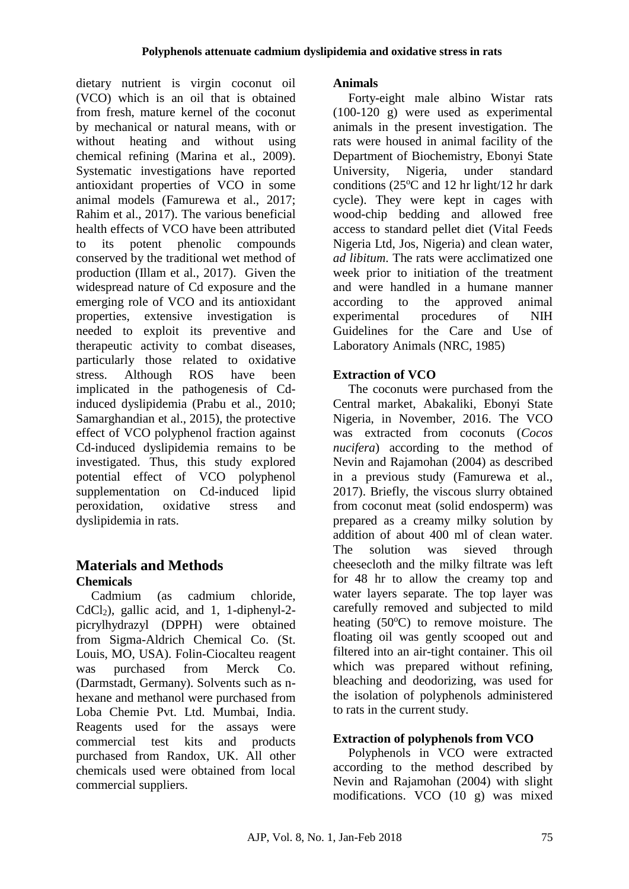dietary nutrient is virgin coconut oil (VCO) which is an oil that is obtained from fresh, mature kernel of the coconut by mechanical or natural means, with or without heating and without using chemical refining (Marina et al., 2009). Systematic investigations have reported antioxidant properties of VCO in some animal models (Famurewa et al., 2017; Rahim et al., 2017). The various beneficial health effects of VCO have been attributed to its potent phenolic compounds conserved by the traditional wet method of production (Illam et al., 2017). Given the widespread nature of Cd exposure and the emerging role of VCO and its antioxidant properties, extensive investigation is needed to exploit its preventive and therapeutic activity to combat diseases, particularly those related to oxidative stress. Although ROS have been implicated in the pathogenesis of Cdinduced dyslipidemia (Prabu et al., 2010; Samarghandian et al., 2015), the protective effect of VCO polyphenol fraction against Cd-induced dyslipidemia remains to be investigated. Thus, this study explored potential effect of VCO polyphenol supplementation on Cd-induced lipid peroxidation, oxidative stress and dyslipidemia in rats.

# **Materials and Methods Chemicals**

Cadmium (as cadmium chloride, CdCl2), gallic acid, and 1, 1-diphenyl-2 picrylhydrazyl (DPPH) were obtained from Sigma-Aldrich Chemical Co. (St. Louis, MO, USA). Folin-Ciocalteu reagent was purchased from Merck Co. (Darmstadt, Germany). Solvents such as nhexane and methanol were purchased from Loba Chemie Pvt. Ltd. Mumbai, India. Reagents used for the assays were commercial test kits and products purchased from Randox, UK. All other chemicals used were obtained from local commercial suppliers.

# **Animals**

Forty-eight male albino Wistar rats (100-120 g) were used as experimental animals in the present investigation. The rats were housed in animal facility of the Department of Biochemistry, Ebonyi State University, Nigeria, under standard conditions ( $25^{\circ}$ C and 12 hr light/12 hr dark cycle). They were kept in cages with wood-chip bedding and allowed free access to standard pellet diet (Vital Feeds Nigeria Ltd, Jos, Nigeria) and clean water, *ad libitum*. The rats were acclimatized one week prior to initiation of the treatment and were handled in a humane manner according to the approved animal experimental procedures of NIH Guidelines for the Care and Use of Laboratory Animals (NRC, 1985)

# **Extraction of VCO**

The coconuts were purchased from the Central market, Abakaliki, Ebonyi State Nigeria, in November, 2016. The VCO was extracted from coconuts (*Cocos nucifera*) according to the method of Nevin and Rajamohan (2004) as described in a previous study (Famurewa et al., 2017). Briefly, the viscous slurry obtained from coconut meat (solid endosperm) was prepared as a creamy milky solution by addition of about 400 ml of clean water. The solution was sieved through cheesecloth and the milky filtrate was left for 48 hr to allow the creamy top and water layers separate. The top layer was carefully removed and subjected to mild heating  $(50^{\circ}C)$  to remove moisture. The floating oil was gently scooped out and filtered into an air-tight container. This oil which was prepared without refining, bleaching and deodorizing, was used for the isolation of polyphenols administered to rats in the current study.

# **Extraction of polyphenols from VCO**

Polyphenols in VCO were extracted according to the method described by Nevin and Rajamohan (2004) with slight modifications. VCO (10 g) was mixed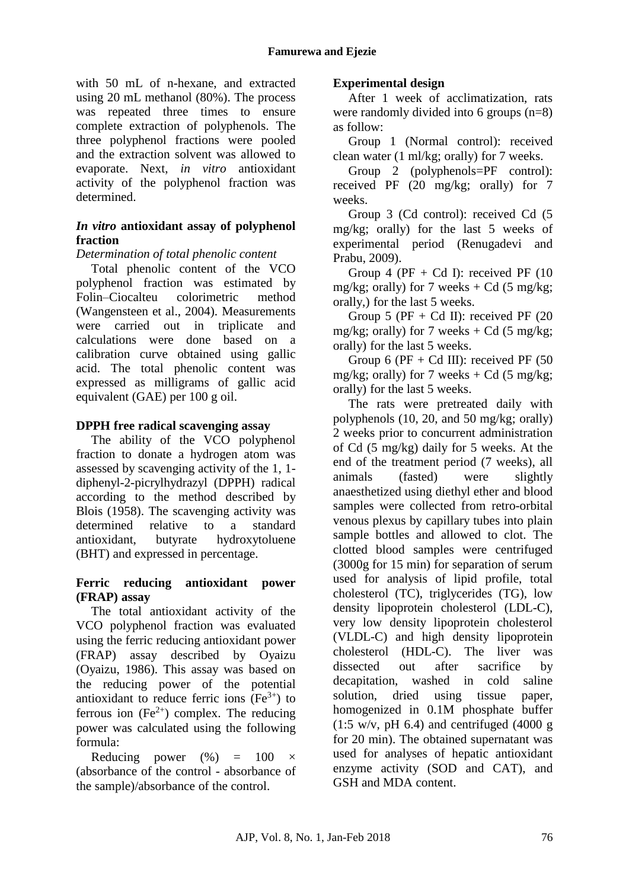with 50 mL of n-hexane, and extracted using 20 mL methanol (80%). The process was repeated three times to ensure complete extraction of polyphenols. The three polyphenol fractions were pooled and the extraction solvent was allowed to evaporate. Next, *in vitro* antioxidant activity of the polyphenol fraction was determined.

# *In vitro* **antioxidant assay of polyphenol fraction**

#### *Determination of total phenolic content*

Total phenolic content of the VCO polyphenol fraction was estimated by Folin–Ciocalteu colorimetric method (Wangensteen et al., 2004). Measurements were carried out in triplicate and calculations were done based on a calibration curve obtained using gallic acid. The total phenolic content was expressed as milligrams of gallic acid equivalent (GAE) per 100 g oil.

### **DPPH free radical scavenging assay**

The ability of the VCO polyphenol fraction to donate a hydrogen atom was assessed by scavenging activity of the 1, 1 diphenyl-2-picrylhydrazyl (DPPH) radical according to the method described by Blois (1958). The scavenging activity was determined relative to a standard antioxidant, butyrate hydroxytoluene (BHT) and expressed in percentage.

### **Ferric reducing antioxidant power (FRAP) assay**

The total antioxidant activity of the VCO polyphenol fraction was evaluated using the ferric reducing antioxidant power (FRAP) assay described by Oyaizu (Oyaizu, 1986). This assay was based on the reducing power of the potential antioxidant to reduce ferric ions  $(Fe<sup>3+</sup>)$  to ferrous ion  $(Fe^{2+})$  complex. The reducing power was calculated using the following formula:

Reducing power  $(\%) = 100 \times$ (absorbance of the control - absorbance of the sample)/absorbance of the control.

### **Experimental design**

After 1 week of acclimatization, rats were randomly divided into 6 groups (n=8) as follow:

Group 1 (Normal control): received clean water (1 ml/kg; orally) for 7 weeks.

Group 2 (polyphenols=PF control): received PF (20 mg/kg; orally) for 7 weeks.

Group 3 (Cd control): received Cd (5 mg/kg; orally) for the last 5 weeks of experimental period (Renugadevi and Prabu, 2009).

Group 4 ( $PF + Cd$  I): received  $PF$  (10) mg/kg; orally) for 7 weeks  $+$  Cd (5 mg/kg; orally,) for the last 5 weeks.

Group 5 ( $PF + Cd$  II): received  $PF$  (20) mg/kg; orally) for 7 weeks  $+$  Cd (5 mg/kg; orally) for the last 5 weeks.

Group 6 ( $PF + Cd$  III): received  $PF$  (50) mg/kg; orally) for 7 weeks  $+$  Cd (5 mg/kg; orally) for the last 5 weeks.

The rats were pretreated daily with polyphenols (10, 20, and 50 mg/kg; orally) 2 weeks prior to concurrent administration of Cd (5 mg/kg) daily for 5 weeks. At the end of the treatment period (7 weeks), all animals (fasted) were slightly anaesthetized using diethyl ether and blood samples were collected from retro-orbital venous plexus by capillary tubes into plain sample bottles and allowed to clot. The clotted blood samples were centrifuged (3000g for 15 min) for separation of serum used for analysis of lipid profile, total cholesterol (TC), triglycerides (TG), low density lipoprotein cholesterol (LDL-C), very low density lipoprotein cholesterol (VLDL-C) and high density lipoprotein cholesterol (HDL-C). The liver was dissected out after sacrifice by decapitation, washed in cold saline solution, dried using tissue paper, homogenized in 0.1M phosphate buffer  $(1:5 \text{ w/v}, \text{pH } 6.4)$  and centrifuged  $(4000 \text{ g})$ for 20 min). The obtained supernatant was used for analyses of hepatic antioxidant enzyme activity (SOD and CAT), and GSH and MDA content.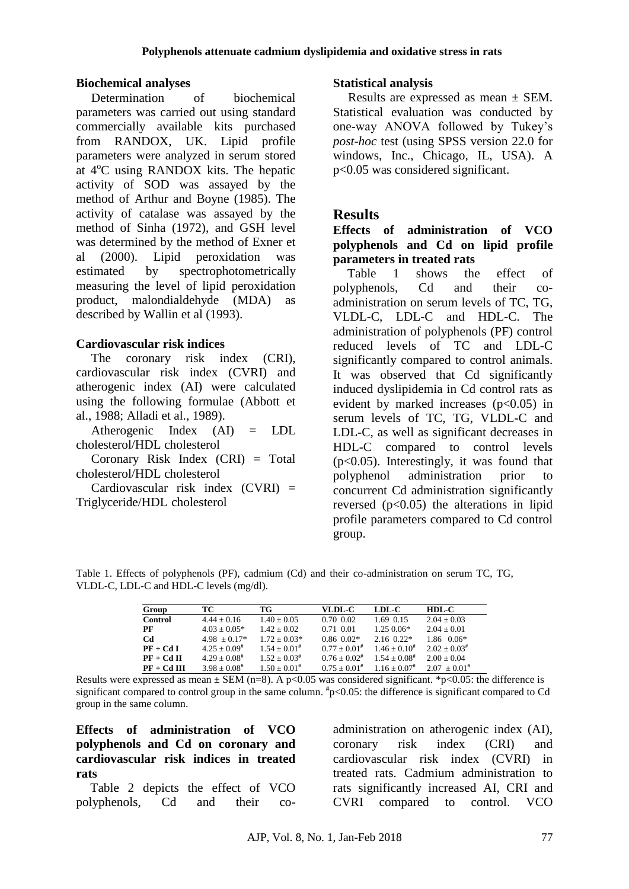#### **Biochemical analyses**

Determination of biochemical parameters was carried out using standard commercially available kits purchased from RANDOX, UK. Lipid profile parameters were analyzed in serum stored at  $4^{\circ}$ C using RANDOX kits. The hepatic activity of SOD was assayed by the method of Arthur and Boyne (1985). The activity of catalase was assayed by the method of Sinha (1972), and GSH level was determined by the method of Exner et al (2000). Lipid peroxidation was estimated by spectrophotometrically measuring the level of lipid peroxidation product, malondialdehyde (MDA) as described by Wallin et al (1993).

#### **Cardiovascular risk indices**

The coronary risk index (CRI). cardiovascular risk index (CVRI) and atherogenic index (AI) were calculated using the following formulae (Abbott et al., 1988; Alladi et al., 1989).

Atherogenic Index (AI) = LDL cholesterol/HDL cholesterol

Coronary Risk Index (CRI) = Total cholesterol/HDL cholesterol

Cardiovascular risk index  $(CVRI)$  = Triglyceride/HDL cholesterol

#### **Statistical analysis**

Results are expressed as mean ± SEM. Statistical evaluation was conducted by one-way ANOVA followed by Tukey's *post-hoc* test (using SPSS version 22.0 for windows, Inc., Chicago, IL, USA). A p<0.05 was considered significant.

# **Results**

**Effects of administration of VCO polyphenols and Cd on lipid profile parameters in treated rats**

Table 1 shows the effect of polyphenols, Cd and their coadministration on serum levels of TC, TG, VLDL-C, LDL-C and HDL-C. The administration of polyphenols (PF) control reduced levels of TC and LDL-C significantly compared to control animals. It was observed that Cd significantly induced dyslipidemia in Cd control rats as evident by marked increases  $(p<0.05)$  in serum levels of TC, TG, VLDL-C and LDL-C, as well as significant decreases in HDL-C compared to control levels (p<0.05). Interestingly, it was found that polyphenol administration prior to concurrent Cd administration significantly reversed  $(p<0.05)$  the alterations in lipid profile parameters compared to Cd control group.

Table 1. Effects of polyphenols (PF), cadmium (Cd) and their co-administration on serum TC, TG, VLDL-C, LDL-C and HDL-C levels (mg/dl).

| Group         | TС                   | TG                 | VLDL-C            | LDL-C             | $HDL-C$                    |
|---------------|----------------------|--------------------|-------------------|-------------------|----------------------------|
| Control       | $4.44 \pm 0.16$      | $1.40 + 0.05$      | $0.70 \, 0.02$    | 1.69 0.15         | $2.04 + 0.03$              |
| PF            | $4.03 + 0.05*$       | $1.42 + 0.02$      | 0.71 0.01         | $1.250.06*$       | $2.04 + 0.01$              |
| <b>Cd</b>     | $4.98 + 0.17*$       | $1.72 + 0.03*$     | $0.86$ $0.02*$    | $2.16 \ \ 0.22*$  | $1.86 \quad 0.06*$         |
| $PF + CdI$    | $4.25 + 0.09^{\#}$   | $1.54 + 0.01$ #    | $0.77 + 0.01$ #   | $1.46 + 0.10^{#}$ | $2.02 + 0.03$ <sup>#</sup> |
| $PF + CdH$    | $4.29 \pm 0.08^{\#}$ | $1.52 + 0.03^{\#}$ | $0.76 \pm 0.02$ # | $1.54 + 0.08$ #   | $2.00 + 0.04$              |
| $PF + Cd III$ | $3.98 + 0.08^{\#}$   | $1.50 + 0.01$ #    | $0.75 + 0.01$ #   | $1.16 + 0.07$ #   | $2.07 + 0.01$ #            |

Results were expressed as mean  $\pm$  SEM (n=8). A p<0.05 was considered significant. \*p<0.05: the difference is significant compared to control group in the same column.  $\#p<0.05$ : the difference is significant compared to Cd group in the same column.

**Effects of administration of VCO polyphenols and Cd on coronary and cardiovascular risk indices in treated rats**

Table 2 depicts the effect of VCO polyphenols, Cd and their co-

administration on atherogenic index (AI), coronary risk index (CRI) and cardiovascular risk index (CVRI) in treated rats. Cadmium administration to rats significantly increased AI, CRI and CVRI compared to control. VCO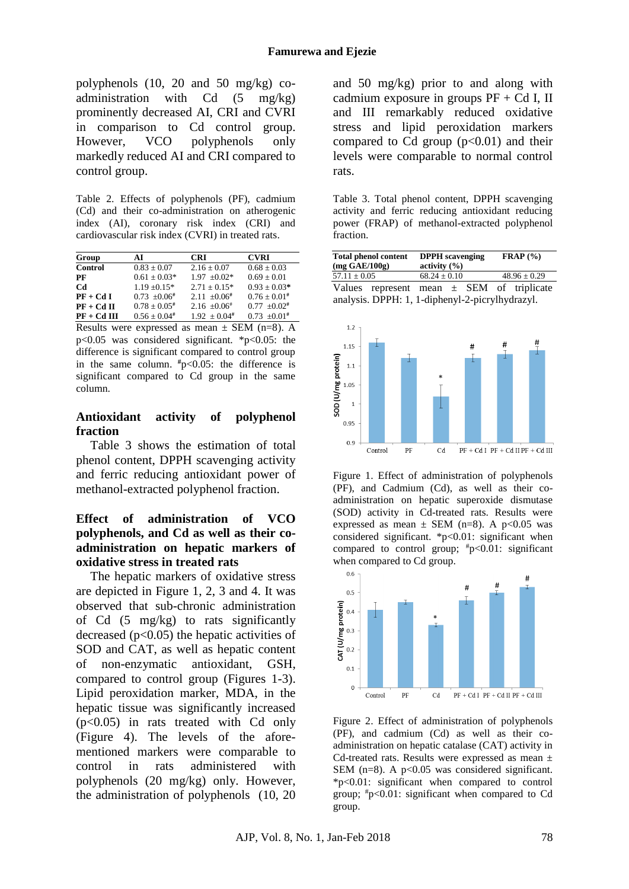polyphenols (10, 20 and 50 mg/kg) coadministration with Cd (5 mg/kg) prominently decreased AI, CRI and CVRI in comparison to Cd control group. However, VCO polyphenols only markedly reduced AI and CRI compared to control group.

Table 2. Effects of polyphenols (PF), cadmium (Cd) and their co-administration on atherogenic index (AI), coronary risk index (CRI) and cardiovascular risk index (CVRI) in treated rats.

| Group         | АT                 | CRI                | <b>CVRI</b>       |
|---------------|--------------------|--------------------|-------------------|
| Control       | $0.83 \pm 0.07$    | $2.16 \pm 0.07$    | $0.68 + 0.03$     |
| PF            | $0.61 + 0.03*$     | $1.97 + 0.02*$     | $0.69 + 0.01$     |
| Cd            | $1.19 + 0.15*$     | $2.71 + 0.15*$     | $0.93 + 0.03*$    |
| $PF + CdI$    | $0.73 + 0.06^{\#}$ | $2.11 + 0.06^{\#}$ | $0.76 \pm 0.01$ # |
| $PF + CdH$    | $0.78 + 0.05^{\#}$ | $2.16 + 0.06^{\#}$ | $0.77 + 0.02$ #   |
| $PF + Cd III$ | $0.56 + 0.04$ #    | $1.92 + 0.04$ #    | $0.73 + 0.01$ #   |

Results were expressed as mean  $\pm$  SEM (n=8). A p<0.05 was considered significant. \*p<0.05: the difference is significant compared to control group in the same column.  $\#p<0.05$ : the difference is significant compared to Cd group in the same column.

#### **Antioxidant activity of polyphenol fraction**

Table 3 shows the estimation of total phenol content, DPPH scavenging activity and ferric reducing antioxidant power of methanol-extracted polyphenol fraction.

### **Effect of administration of VCO polyphenols, and Cd as well as their coadministration on hepatic markers of oxidative stress in treated rats**

The hepatic markers of oxidative stress are depicted in Figure 1, 2, 3 and 4. It was observed that sub-chronic administration of Cd (5 mg/kg) to rats significantly decreased  $(p<0.05)$  the hepatic activities of SOD and CAT, as well as hepatic content of non-enzymatic antioxidant, GSH, compared to control group (Figures 1-3). Lipid peroxidation marker, MDA, in the hepatic tissue was significantly increased (p<0.05) in rats treated with Cd only (Figure 4). The levels of the aforementioned markers were comparable to control in rats administered with polyphenols (20 mg/kg) only. However, the administration of polyphenols (10, 20

and 50 mg/kg) prior to and along with cadmium exposure in groups  $PF + CdI$ , II and III remarkably reduced oxidative stress and lipid peroxidation markers compared to Cd group  $(p<0.01)$  and their levels were comparable to normal control rats.

Table 3. Total phenol content, DPPH scavenging activity and ferric reducing antioxidant reducing power (FRAP) of methanol-extracted polyphenol fraction.

| <b>Total phenol content</b><br>$(mg \text{ GAE}/100g)$ | <b>DPPH</b> scavenging<br>activity $(\% )$ | $\mathbf{FRAP}$ (%) |                  |  |  |  |  |  |
|--------------------------------------------------------|--------------------------------------------|---------------------|------------------|--|--|--|--|--|
| $57.11 \pm 0.05$                                       | $68.24 \pm 0.10$                           |                     | $48.96 \pm 0.29$ |  |  |  |  |  |
| Values represent mean $\pm$ SEM of triplicate          |                                            |                     |                  |  |  |  |  |  |
| analysis. DPPH: 1, 1-diphenyl-2-picrylhydrazyl.        |                                            |                     |                  |  |  |  |  |  |



Figure 1. Effect of administration of polyphenols (PF), and Cadmium (Cd), as well as their coadministration on hepatic superoxide dismutase (SOD) activity in Cd-treated rats. Results were expressed as mean  $\pm$  SEM (n=8). A p<0.05 was considered significant. \*p<0.01: significant when compared to control group;  $\frac{4}{5}$ p<0.01: significant when compared to Cd group.



Figure 2. Effect of administration of polyphenols (PF), and cadmium (Cd) as well as their coadministration on hepatic catalase (CAT) activity in Cd-treated rats. Results were expressed as mean  $\pm$ SEM  $(n=8)$ . A  $p<0.05$  was considered significant. \*p<0.01: significant when compared to control group;  $\sharp_{p}$  < 0.01: significant when compared to Cd group.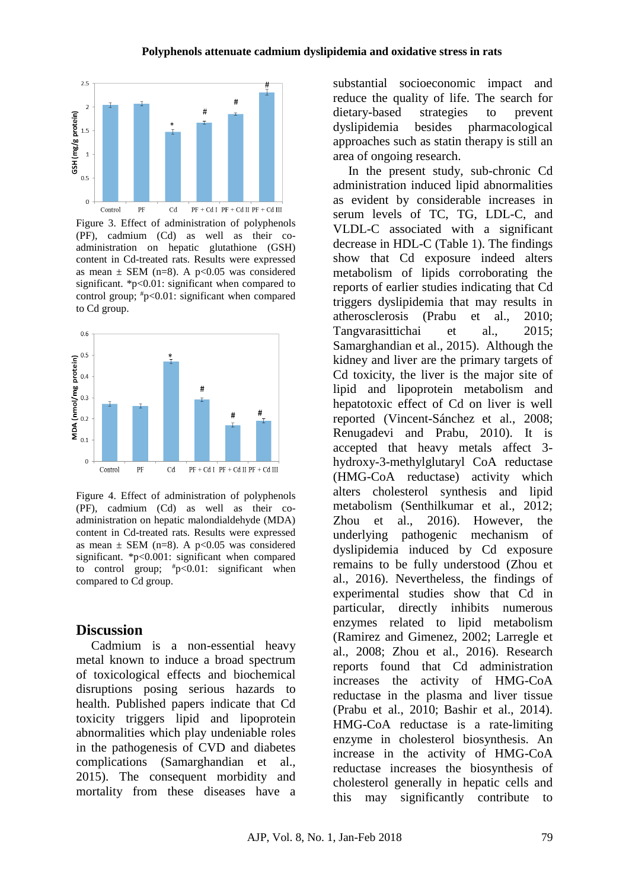

Figure 3. Effect of administration of polyphenols (PF), cadmium (Cd) as well as their coadministration on hepatic glutathione (GSH) content in Cd-treated rats. Results were expressed as mean  $\pm$  SEM (n=8). A p<0.05 was considered significant. \*p<0.01: significant when compared to control group;  $\#p<0.01$ : significant when compared to Cd group.



Figure 4. Effect of administration of polyphenols (PF), cadmium (Cd) as well as their coadministration on hepatic malondialdehyde (MDA) content in Cd-treated rats. Results were expressed as mean  $\pm$  SEM (n=8). A p<0.05 was considered significant. \*p<0.001: significant when compared to control group;  $\text{*p}$ <0.01: significant when compared to Cd group.

### **Discussion**

Cadmium is a non-essential heavy metal known to induce a broad spectrum of toxicological effects and biochemical disruptions posing serious hazards to health. Published papers indicate that Cd toxicity triggers lipid and lipoprotein abnormalities which play undeniable roles in the pathogenesis of CVD and diabetes complications (Samarghandian et al., 2015). The consequent morbidity and mortality from these diseases have a substantial socioeconomic impact and reduce the quality of life. The search for dietary-based strategies to prevent dyslipidemia besides pharmacological approaches such as statin therapy is still an area of ongoing research.

In the present study, sub-chronic Cd administration induced lipid abnormalities as evident by considerable increases in serum levels of TC, TG, LDL-C, and VLDL-C associated with a significant decrease in HDL-C (Table 1). The findings show that Cd exposure indeed alters metabolism of lipids corroborating the reports of earlier studies indicating that Cd triggers dyslipidemia that may results in atherosclerosis (Prabu et al., 2010; Tangvarasittichai et al., 2015; Samarghandian et al., 2015). Although the kidney and liver are the primary targets of Cd toxicity, the liver is the major site of lipid and lipoprotein metabolism and hepatotoxic effect of Cd on liver is well reported (Vincent-Sánchez et al., 2008; Renugadevi and Prabu, 2010). It is accepted that heavy metals affect 3 hydroxy-3-methylglutaryl CoA reductase (HMG-CoA reductase) activity which alters cholesterol synthesis and lipid metabolism (Senthilkumar et al., 2012; Zhou et al., 2016). However, the underlying pathogenic mechanism of dyslipidemia induced by Cd exposure remains to be fully understood (Zhou et al., 2016). Nevertheless, the findings of experimental studies show that Cd in particular, directly inhibits numerous enzymes related to lipid metabolism (Ramirez and Gimenez, 2002; Larregle et al., 2008; Zhou et al., 2016). Research reports found that Cd administration increases the activity of HMG-CoA reductase in the plasma and liver tissue (Prabu et al., 2010; Bashir et al., 2014). HMG-CoA reductase is a rate-limiting enzyme in cholesterol biosynthesis. An increase in the activity of HMG-CoA reductase increases the biosynthesis of cholesterol generally in hepatic cells and this may significantly contribute to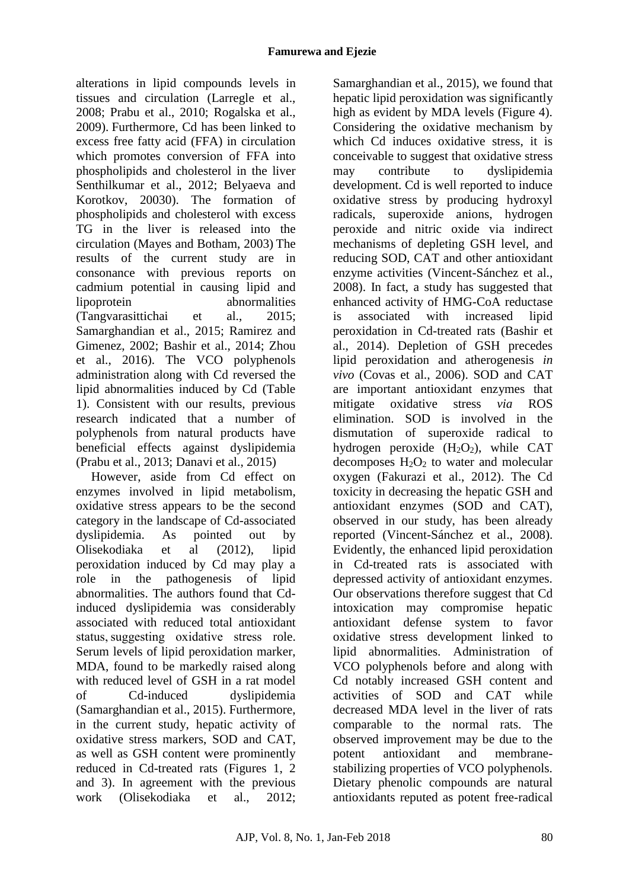alterations in lipid compounds levels in tissues and circulation (Larregle et al., 2008; Prabu et al., 2010; Rogalska et al., 2009). Furthermore, Cd has been linked to excess free fatty acid (FFA) in circulation which promotes conversion of FFA into phospholipids and cholesterol in the liver Senthilkumar et al., 2012; Belyaeva and Korotkov, 20030). The formation of phospholipids and cholesterol with excess TG in the liver is released into the circulation (Mayes and Botham, 2003) The results of the current study are in consonance with previous reports on cadmium potential in causing lipid and lipoprotein abnormalities (Tangvarasittichai et al., 2015; Samarghandian et al., 2015; Ramirez and Gimenez, 2002; Bashir et al., 2014; Zhou et al., 2016). The VCO polyphenols administration along with Cd reversed the lipid abnormalities induced by Cd (Table 1). Consistent with our results, previous research indicated that a number of polyphenols from natural products have beneficial effects against dyslipidemia (Prabu et al., 2013; Danavi et al., 2015)

However, aside from Cd effect on enzymes involved in lipid metabolism, oxidative stress appears to be the second category in the landscape of Cd-associated dyslipidemia. As pointed out by Olisekodiaka et al (2012), lipid peroxidation induced by Cd may play a role in the pathogenesis of lipid abnormalities. The authors found that Cdinduced dyslipidemia was considerably associated with reduced total antioxidant status, suggesting oxidative stress role. Serum levels of lipid peroxidation marker, MDA, found to be markedly raised along with reduced level of GSH in a rat model of Cd-induced dyslipidemia (Samarghandian et al., 2015). Furthermore, in the current study, hepatic activity of oxidative stress markers, SOD and CAT, as well as GSH content were prominently reduced in Cd-treated rats (Figures 1, 2 and 3). In agreement with the previous work (Olisekodiaka et al., 2012;

Samarghandian et al., 2015), we found that hepatic lipid peroxidation was significantly high as evident by MDA levels (Figure 4). Considering the oxidative mechanism by which Cd induces oxidative stress, it is conceivable to suggest that oxidative stress may contribute to dyslipidemia development. Cd is well reported to induce oxidative stress by producing hydroxyl radicals, superoxide anions, hydrogen peroxide and nitric oxide via indirect mechanisms of depleting GSH level, and reducing SOD, CAT and other antioxidant enzyme activities (Vincent-Sánchez et al., 2008). In fact, a study has suggested that enhanced activity of HMG-CoA reductase is associated with increased lipid peroxidation in Cd-treated rats (Bashir et al., 2014). Depletion of GSH precedes lipid peroxidation and atherogenesis *in vivo* (Covas et al., 2006). SOD and CAT are important antioxidant enzymes that mitigate oxidative stress *via* ROS elimination. SOD is involved in the dismutation of superoxide radical to hydrogen peroxide  $(H_2O_2)$ , while CAT decomposes  $H_2O_2$  to water and molecular oxygen (Fakurazi et al., 2012). The Cd toxicity in decreasing the hepatic GSH and antioxidant enzymes (SOD and CAT), observed in our study, has been already reported (Vincent-Sánchez et al., 2008). Evidently, the enhanced lipid peroxidation in Cd-treated rats is associated with depressed activity of antioxidant enzymes. Our observations therefore suggest that Cd intoxication may compromise hepatic antioxidant defense system to favor oxidative stress development linked to lipid abnormalities. Administration of VCO polyphenols before and along with Cd notably increased GSH content and activities of SOD and CAT while decreased MDA level in the liver of rats comparable to the normal rats. The observed improvement may be due to the potent antioxidant and membranestabilizing properties of VCO polyphenols. Dietary phenolic compounds are natural antioxidants reputed as potent free-radical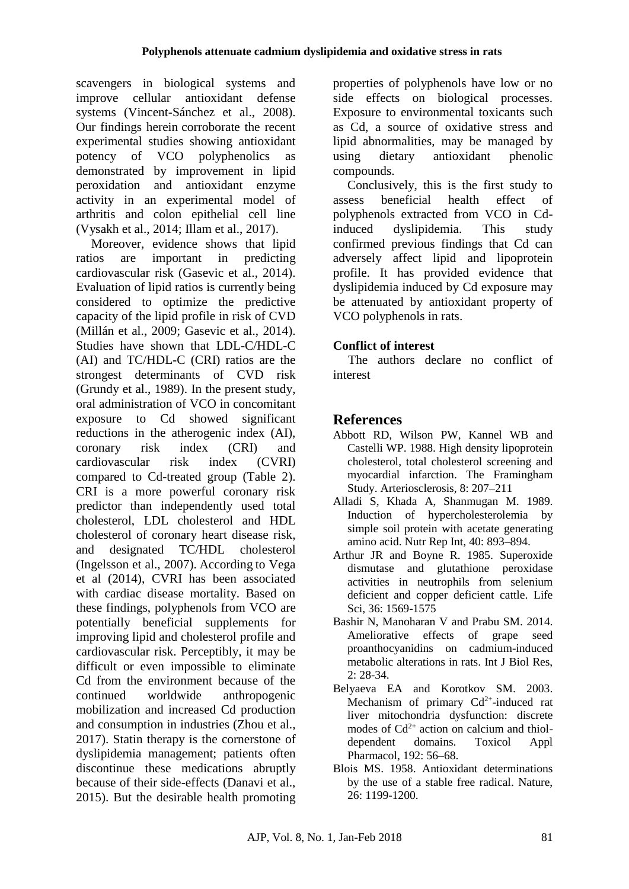scavengers in biological systems and improve cellular antioxidant defense systems (Vincent-Sánchez et al., 2008). Our findings herein corroborate the recent experimental studies showing antioxidant potency of VCO polyphenolics as demonstrated by improvement in lipid peroxidation and antioxidant enzyme activity in an experimental model of arthritis and colon epithelial cell line (Vysakh et al., 2014; Illam et al., 2017).

Moreover, evidence shows that lipid ratios are important in predicting cardiovascular risk (Gasevic et al., 2014). Evaluation of lipid ratios is currently being considered to optimize the predictive capacity of the lipid profile in risk of CVD (Millán et al., 2009; Gasevic et al., 2014). Studies have shown that LDL-C/HDL-C (AI) and TC/HDL-C (CRI) ratios are the strongest determinants of CVD risk (Grundy et al., 1989). In the present study, oral administration of VCO in concomitant exposure to Cd showed significant reductions in the atherogenic index (AI), coronary risk index (CRI) and cardiovascular risk index (CVRI) compared to Cd-treated group (Table 2). CRI is a more powerful coronary risk predictor than independently used total cholesterol, LDL cholesterol and HDL cholesterol of coronary heart disease risk, and designated TC/HDL cholesterol (Ingelsson et al., 2007). According to Vega et al (2014), CVRI has been associated with cardiac disease mortality. Based on these findings, polyphenols from VCO are potentially beneficial supplements for improving lipid and cholesterol profile and cardiovascular risk. Perceptibly, it may be difficult or even impossible to eliminate Cd from the environment because of the continued worldwide anthropogenic mobilization and increased Cd production and consumption in industries (Zhou et al., 2017). Statin therapy is the cornerstone of dyslipidemia management; patients often discontinue these medications abruptly because of their side-effects (Danavi et al., 2015). But the desirable health promoting

properties of polyphenols have low or no side effects on biological processes. Exposure to environmental toxicants such as Cd, a source of oxidative stress and lipid abnormalities, may be managed by using dietary antioxidant phenolic compounds.

Conclusively, this is the first study to assess beneficial health effect of polyphenols extracted from VCO in Cdinduced dyslipidemia. This study confirmed previous findings that Cd can adversely affect lipid and lipoprotein profile. It has provided evidence that dyslipidemia induced by Cd exposure may be attenuated by antioxidant property of VCO polyphenols in rats.

# **Conflict of interest**

The authors declare no conflict of interest

# **References**

- Abbott RD, Wilson PW, Kannel WB and Castelli WP. 1988. High density lipoprotein cholesterol, total cholesterol screening and myocardial infarction. The Framingham Study. Arteriosclerosis, 8: 207–211
- Alladi S, Khada A, Shanmugan M. 1989. Induction of hypercholesterolemia by simple soil protein with acetate generating amino acid. Nutr Rep Int, 40: 893–894.
- Arthur JR and Boyne R. 1985. Superoxide dismutase and glutathione peroxidase activities in neutrophils from selenium deficient and copper deficient cattle. Life Sci, 36: 1569-1575
- Bashir N, Manoharan V and Prabu SM. 2014. Ameliorative effects of grape seed proanthocyanidins on cadmium-induced metabolic alterations in rats. Int J Biol Res, 2: 28-34.
- Belyaeva EA and Korotkov SM. 2003. Mechanism of primary  $Cd^{2+}$ -induced rat liver mitochondria dysfunction: discrete modes of  $Cd^{2+}$  action on calcium and thioldependent domains. Toxicol Appl Pharmacol, 192: 56–68.
- Blois MS. 1958. Antioxidant determinations by the use of a stable free radical. Nature, 26: 1199-1200.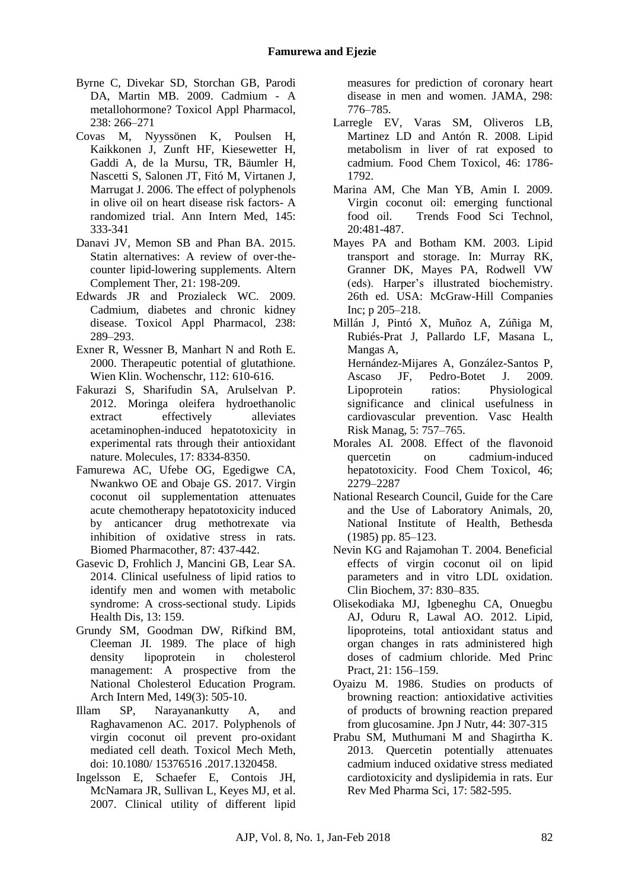- Byrne C, Divekar SD, Storchan GB, Parodi DA, Martin MB. 2009. Cadmium - A metallohormone? Toxicol Appl Pharmacol, 238: 266–271
- Covas M, Nyyssönen K, Poulsen H, Kaikkonen J, Zunft HF, Kiesewetter H, Gaddi A, de la Mursu, TR, Bäumler H, Nascetti S, Salonen JT, Fitó M, Virtanen J, Marrugat J. 2006. The effect of polyphenols in olive oil on heart disease risk factors- A randomized trial. Ann Intern Med, 145: 333-341
- Danavi JV, Memon SB and Phan BA. 2015. Statin alternatives: A review of over-thecounter lipid-lowering supplements. Altern Complement Ther, 21: 198-209.
- Edwards JR and Prozialeck WC. 2009. Cadmium, diabetes and chronic kidney disease. Toxicol Appl Pharmacol, 238: 289–293.
- Exner R, Wessner B, Manhart N and Roth E. 2000. Therapeutic potential of glutathione. Wien Klin. Wochenschr, 112: 610-616.
- Fakurazi S, Sharifudin SA, Arulselvan P. 2012. Moringa oleifera hydroethanolic extract effectively alleviates acetaminophen-induced hepatotoxicity in experimental rats through their antioxidant nature. Molecules, 17: 8334-8350.
- Famurewa AC, Ufebe OG, Egedigwe CA, Nwankwo OE and Obaje GS. 2017. Virgin coconut oil supplementation attenuates acute chemotherapy hepatotoxicity induced by anticancer drug methotrexate via inhibition of oxidative stress in rats. Biomed Pharmacother, 87: 437-442.
- Gasevic D, Frohlich J, Mancini GB, Lear SA. 2014. Clinical usefulness of lipid ratios to identify men and women with metabolic syndrome: A cross-sectional study. Lipids Health Dis, 13: 159.
- Grundy SM, Goodman DW, Rifkind BM, Cleeman JI. 1989. The place of high density lipoprotein in cholesterol management: A prospective from the National Cholesterol Education Program. Arch Intern Med, 149(3): 505-10.
- Illam SP, Narayanankutty A, and Raghavamenon AC. 2017. Polyphenols of virgin coconut oil prevent pro-oxidant mediated cell death. Toxicol Mech Meth, doi: 10.1080/ 15376516 .2017.1320458.
- Ingelsson E, Schaefer E, Contois JH, McNamara JR, Sullivan L, Keyes MJ, et al. 2007. Clinical utility of different lipid

measures for prediction of coronary heart disease in men and women. JAMA, 298: 776–785.

- Larregle EV, Varas SM, Oliveros LB, Martinez LD and Antón R. 2008. Lipid metabolism in liver of rat exposed to cadmium. Food Chem Toxicol, 46: 1786- 1792.
- Marina AM, Che Man YB, Amin I. 2009. Virgin coconut oil: emerging functional food oil. Trends Food Sci Technol, 20:481-487.
- Mayes PA and Botham KM. 2003. Lipid transport and storage. In: Murray RK, Granner DK, Mayes PA, Rodwell VW (eds). Harper's illustrated biochemistry. 26th ed. USA: McGraw-Hill Companies Inc; p 205–218.
- Millán J, Pintó X, Muñoz A, Zúñiga M, Rubiés-Prat J, Pallardo LF, Masana L, Mangas A, Hernández-Mijares A, González-Santos P, Ascaso JF, Pedro-Botet J. 2009.<br>Lipoprotein ratios: Physiological ratios: Physiological significance and clinical usefulness in cardiovascular prevention. Vasc Health Risk Manag, 5: 757–765.
- Morales AI. 2008. Effect of the flavonoid quercetin on cadmium-induced hepatotoxicity. Food Chem Toxicol, 46; 2279–2287
- National Research Council, Guide for the Care and the Use of Laboratory Animals, 20, National Institute of Health, Bethesda (1985) pp. 85–123.
- Nevin KG and Rajamohan T. 2004. Beneficial effects of virgin coconut oil on lipid parameters and in vitro LDL oxidation. Clin Biochem, 37: 830–835.
- Olisekodiaka MJ, Igbeneghu CA, Onuegbu AJ, Oduru R, Lawal AO. 2012. Lipid, lipoproteins, total antioxidant status and organ changes in rats administered high doses of cadmium chloride. Med Princ Pract, 21: 156–159.
- Oyaizu M. 1986. Studies on products of browning reaction: antioxidative activities of products of browning reaction prepared from glucosamine. Jpn J Nutr,  $44: 307-315$
- Prabu SM, Muthumani M and Shagirtha K. 2013. Quercetin potentially attenuates cadmium induced oxidative stress mediated cardiotoxicity and dyslipidemia in rats. Eur Rev Med Pharma Sci, 17: 582-595.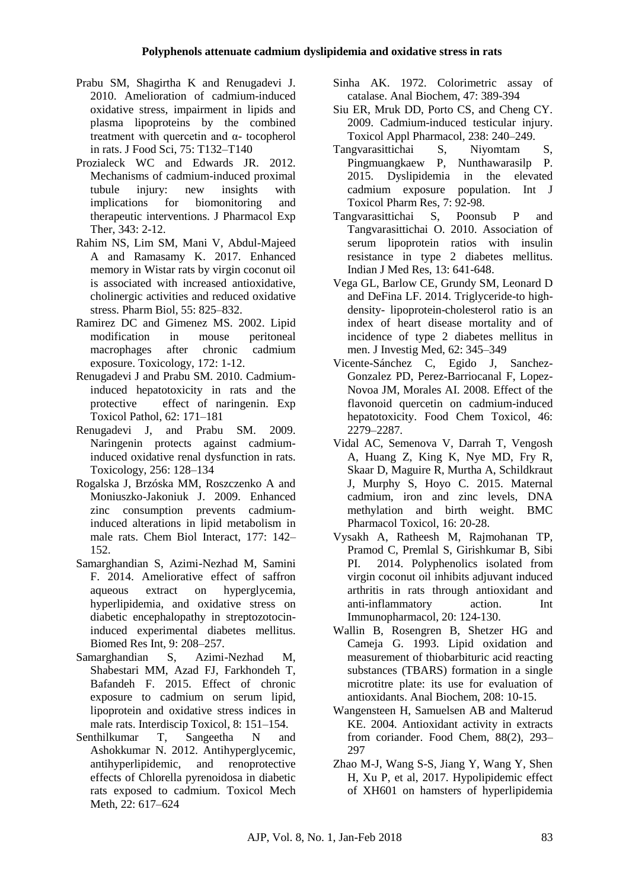- Prabu SM, Shagirtha K and Renugadevi J. 2010. Amelioration of cadmium-induced oxidative stress, impairment in lipids and plasma lipoproteins by the combined treatment with quercetin and  $\alpha$ - tocopherol in rats. J Food Sci, 75: T132–T140
- Prozialeck WC and Edwards JR. 2012. Mechanisms of cadmium-induced proximal tubule injury: new insights with implications for biomonitoring and therapeutic interventions. J Pharmacol Exp Ther, 343: 2-12.
- Rahim NS, Lim SM, Mani V, Abdul-Majeed A and Ramasamy K. 2017. Enhanced memory in Wistar rats by virgin coconut oil is associated with increased antioxidative, cholinergic activities and reduced oxidative stress. Pharm Biol, 55: 825–832.
- Ramirez DC and Gimenez MS. 2002. Lipid modification in mouse peritoneal macrophages after chronic cadmium exposure. Toxicology, 172: 1-12.
- Renugadevi J and Prabu SM. 2010. Cadmiuminduced hepatotoxicity in rats and the protective effect of naringenin. Exp Toxicol Pathol, 62: 171–181
- Renugadevi J, and Prabu SM. 2009. Naringenin protects against cadmiuminduced oxidative renal dysfunction in rats. Toxicology, 256: 128–134
- Rogalska J, Brzóska MM, Roszczenko A and Moniuszko-Jakoniuk J. 2009. Enhanced zinc consumption prevents cadmiuminduced alterations in lipid metabolism in male rats. Chem Biol Interact, 177: 142– 152.
- Samarghandian S, Azimi-Nezhad M, Samini F. 2014. Ameliorative effect of saffron aqueous extract on hyperglycemia, hyperlipidemia, and oxidative stress on diabetic encephalopathy in streptozotocininduced experimental diabetes mellitus. Biomed Res Int, 9: 208–257.
- Samarghandian S, Azimi-Nezhad M, Shabestari MM, Azad FJ, Farkhondeh T, Bafandeh F. 2015. Effect of chronic exposure to cadmium on serum lipid, lipoprotein and oxidative stress indices in male rats. Interdiscip Toxicol, 8: 151–154.
- Senthilkumar T, Sangeetha N and Ashokkumar N. 2012. Antihyperglycemic, antihyperlipidemic, and renoprotective effects of Chlorella pyrenoidosa in diabetic rats exposed to cadmium. Toxicol Mech Meth, 22: 617–624
- Sinha AK. 1972. Colorimetric assay of catalase. Anal Biochem, 47: 389-394
- Siu ER, Mruk DD, Porto CS, and Cheng CY. 2009. Cadmium-induced testicular injury. Toxicol Appl Pharmacol, 238: 240–249.
- Tangvarasittichai S, Niyomtam S, Pingmuangkaew P, Nunthawarasilp P. 2015. Dyslipidemia in the elevated cadmium exposure population. Int J Toxicol Pharm Res, 7: 92-98.
- Tangvarasittichai S, Poonsub P and Tangvarasittichai O. 2010. Association of serum lipoprotein ratios with insulin resistance in type 2 diabetes mellitus. Indian J Med Res, 13: 641-648.
- Vega GL, Barlow CE, Grundy SM, Leonard D and DeFina LF. 2014. Triglyceride-to highdensity- lipoprotein-cholesterol ratio is an index of heart disease mortality and of incidence of type 2 diabetes mellitus in men. J Investig Med, 62: 345–349
- Vicente-Sánchez C, Egido J, Sanchez-Gonzalez PD, Perez-Barriocanal F, Lopez-Novoa JM, Morales AI. 2008. Effect of the flavonoid quercetin on cadmium-induced hepatotoxicity. Food Chem Toxicol, 46: 2279–2287.
- Vidal AC, Semenova V, Darrah T, Vengosh A, Huang Z, King K, Nye MD, Fry R, Skaar D, Maguire R, Murtha A, Schildkraut J, Murphy S, Hoyo C. 2015. Maternal cadmium, iron and zinc levels, DNA methylation and birth weight. BMC Pharmacol Toxicol, 16: 20-28.
- Vysakh A, Ratheesh M, Rajmohanan TP, Pramod C, Premlal S, Girishkumar B, Sibi PI. 2014. Polyphenolics isolated from virgin coconut oil inhibits adjuvant induced arthritis in rats through antioxidant and anti-inflammatory action. Int Immunopharmacol, 20: 124-130.
- Wallin B, Rosengren B, Shetzer HG and Cameja G. 1993. Lipid oxidation and measurement of thiobarbituric acid reacting substances (TBARS) formation in a single microtitre plate: its use for evaluation of antioxidants. Anal Biochem, 208: 10-15.
- Wangensteen H, Samuelsen AB and Malterud KE. 2004. Antioxidant activity in extracts from coriander. Food Chem, 88(2), 293– 297
- Zhao M-J, Wang S-S, Jiang Y, Wang Y, Shen H, Xu P, et al, 2017. Hypolipidemic effect of XH601 on hamsters of hyperlipidemia